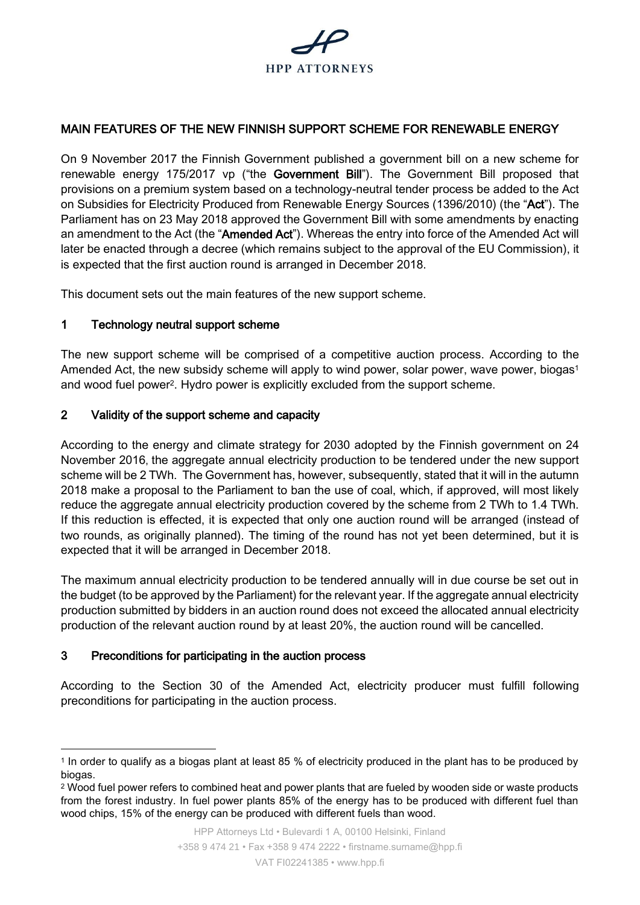

### MAIN FEATURES OF THE NEW FINNISH SUPPORT SCHEME FOR RENEWABLE ENERGY

On 9 November 2017 the Finnish Government published a government bill on a new scheme for renewable energy 175/2017 vp ("the Government Bill"). The Government Bill proposed that provisions on a premium system based on a technology-neutral tender process be added to the Act on Subsidies for Electricity Produced from Renewable Energy Sources (1396/2010) (the "Act"). The Parliament has on 23 May 2018 approved the Government Bill with some amendments by enacting an amendment to the Act (the "Amended Act"). Whereas the entry into force of the Amended Act will later be enacted through a decree (which remains subject to the approval of the EU Commission), it is expected that the first auction round is arranged in December 2018.

This document sets out the main features of the new support scheme.

### 1 Technology neutral support scheme

The new support scheme will be comprised of a competitive auction process. According to the Amended Act, the new subsidy scheme will apply to wind power, solar power, wave power, biogas<sup>1</sup> and wood fuel power<sup>2</sup>. Hydro power is explicitly excluded from the support scheme.

### 2 Validity of the support scheme and capacity

According to the energy and climate strategy for 2030 adopted by the Finnish government on 24 November 2016, the aggregate annual electricity production to be tendered under the new support scheme will be 2 TWh. The Government has, however, subsequently, stated that it will in the autumn 2018 make a proposal to the Parliament to ban the use of coal, which, if approved, will most likely reduce the aggregate annual electricity production covered by the scheme from 2 TWh to 1.4 TWh. If this reduction is effected, it is expected that only one auction round will be arranged (instead of two rounds, as originally planned). The timing of the round has not yet been determined, but it is expected that it will be arranged in December 2018.

The maximum annual electricity production to be tendered annually will in due course be set out in the budget (to be approved by the Parliament) for the relevant year. If the aggregate annual electricity production submitted by bidders in an auction round does not exceed the allocated annual electricity production of the relevant auction round by at least 20%, the auction round will be cancelled.

### 3 Preconditions for participating in the auction process

-

According to the Section 30 of the Amended Act, electricity producer must fulfill following preconditions for participating in the auction process.

<sup>1</sup> In order to qualify as a biogas plant at least 85 % of electricity produced in the plant has to be produced by biogas.

<sup>2</sup> Wood fuel power refers to combined heat and power plants that are fueled by wooden side or waste products from the forest industry. In fuel power plants 85% of the energy has to be produced with different fuel than wood chips, 15% of the energy can be produced with different fuels than wood.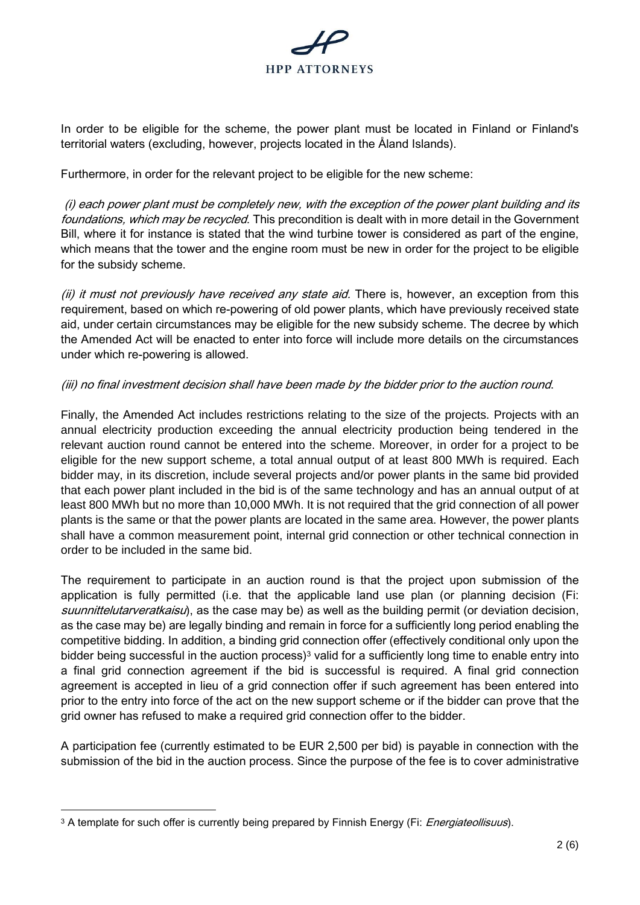

In order to be eligible for the scheme, the power plant must be located in Finland or Finland's territorial waters (excluding, however, projects located in the Åland Islands).

Furthermore, in order for the relevant project to be eligible for the new scheme:

(i) each power plant must be completely new, with the exception of the power plant building and its foundations, which may be recycled. This precondition is dealt with in more detail in the Government Bill, where it for instance is stated that the wind turbine tower is considered as part of the engine, which means that the tower and the engine room must be new in order for the project to be eligible for the subsidy scheme.

(ii) it must not previously have received any state aid. There is, however, an exception from this requirement, based on which re-powering of old power plants, which have previously received state aid, under certain circumstances may be eligible for the new subsidy scheme. The decree by which the Amended Act will be enacted to enter into force will include more details on the circumstances under which re-powering is allowed.

### (iii) no final investment decision shall have been made by the bidder prior to the auction round.

Finally, the Amended Act includes restrictions relating to the size of the projects. Projects with an annual electricity production exceeding the annual electricity production being tendered in the relevant auction round cannot be entered into the scheme. Moreover, in order for a project to be eligible for the new support scheme, a total annual output of at least 800 MWh is required. Each bidder may, in its discretion, include several projects and/or power plants in the same bid provided that each power plant included in the bid is of the same technology and has an annual output of at least 800 MWh but no more than 10,000 MWh. It is not required that the grid connection of all power plants is the same or that the power plants are located in the same area. However, the power plants shall have a common measurement point, internal grid connection or other technical connection in order to be included in the same bid.

The requirement to participate in an auction round is that the project upon submission of the application is fully permitted (i.e. that the applicable land use plan (or planning decision (Fi: suunnittelutarveratkaisu), as the case may be) as well as the building permit (or deviation decision, as the case may be) are legally binding and remain in force for a sufficiently long period enabling the competitive bidding. In addition, a binding grid connection offer (effectively conditional only upon the bidder being successful in the auction process)<sup>3</sup> valid for a sufficiently long time to enable entry into a final grid connection agreement if the bid is successful is required. A final grid connection agreement is accepted in lieu of a grid connection offer if such agreement has been entered into prior to the entry into force of the act on the new support scheme or if the bidder can prove that the grid owner has refused to make a required grid connection offer to the bidder.

A participation fee (currently estimated to be EUR 2,500 per bid) is payable in connection with the submission of the bid in the auction process. Since the purpose of the fee is to cover administrative

-

<sup>&</sup>lt;sup>3</sup> A template for such offer is currently being prepared by Finnish Energy (Fi: *Energiateollisuus*).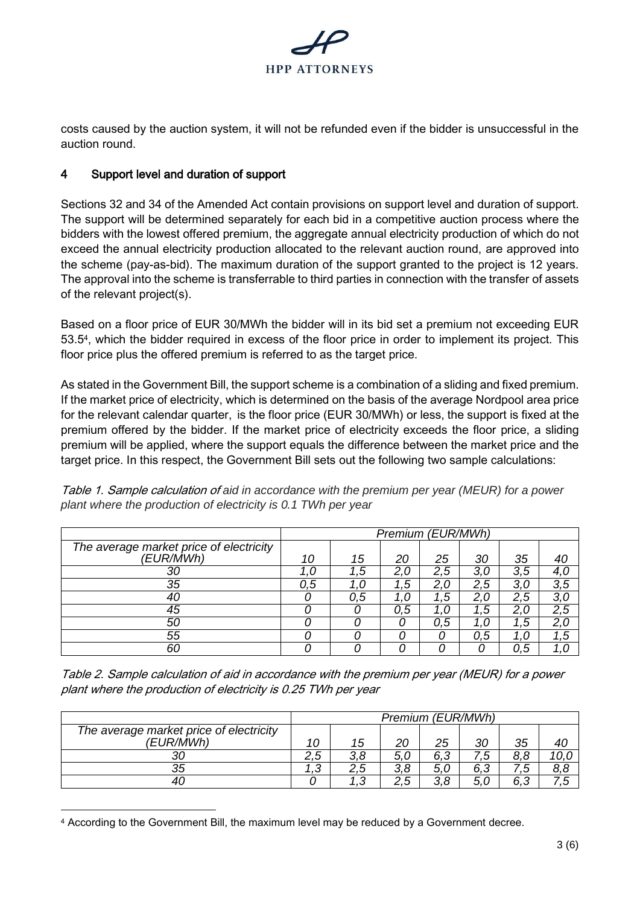

costs caused by the auction system, it will not be refunded even if the bidder is unsuccessful in the auction round.

# 4 Support level and duration of support

Sections 32 and 34 of the Amended Act contain provisions on support level and duration of support. The support will be determined separately for each bid in a competitive auction process where the bidders with the lowest offered premium, the aggregate annual electricity production of which do not exceed the annual electricity production allocated to the relevant auction round, are approved into the scheme (pay-as-bid). The maximum duration of the support granted to the project is 12 years. The approval into the scheme is transferrable to third parties in connection with the transfer of assets of the relevant project(s).

Based on a floor price of EUR 30/MWh the bidder will in its bid set a premium not exceeding EUR 53.5<sup>4</sup> , which the bidder required in excess of the floor price in order to implement its project. This floor price plus the offered premium is referred to as the target price.

As stated in the Government Bill, the support scheme is a combination of a sliding and fixed premium. If the market price of electricity, which is determined on the basis of the average Nordpool area price for the relevant calendar quarter, is the floor price (EUR 30/MWh) or less, the support is fixed at the premium offered by the bidder. If the market price of electricity exceeds the floor price, a sliding premium will be applied, where the support equals the difference between the market price and the target price. In this respect, the Government Bill sets out the following two sample calculations:

*Premium (EUR/MWh) The average market price of electricity (EUR/MWh) 10 15 20 25 30 35 40 1,0 1,5 2,0 2,5 3,0 3,5 4,0 0,5 1,0 1,5 2,0 2,5 3,0 3,5 0 0,5 1,0 1,5 2,0 2,5 3,0 0 0 0,5 1,0 1,5 2,0 2,5 0 0 0 0,5 1,0 1,5 2,0 0 0 0 0 0,5 1,0 1,5 0 0 0 0 0 0,5 1,0*

Table 1. Sample calculation of *aid in accordance with the premium per year (MEUR) for a power plant where the production of electricity is 0.1 TWh per year*

Table 2. Sample calculation of aid in accordance with the premium per year (MEUR) for a power plant where the production of electricity is 0.25 TWh per year

|                                         | Premium (EUR/MWh) |     |               |        |     |     |      |
|-----------------------------------------|-------------------|-----|---------------|--------|-----|-----|------|
| The average market price of electricity |                   |     |               |        |     |     |      |
| (EUR/MWh)                               | 10                | 15  | 20            | 25     | 30  | 35  | 40   |
| 30                                      | <u>Б</u><br>ن, ∠  | ၁ ၀ | 5             | 6,3    |     | 8.8 | 10,C |
| 35                                      | ⌒<br>. ب          | 2.5 | 8.<br>ົ<br>J. | 5, C   | 6,3 | . ب | 8,8  |
| 40                                      |                   | ◠   | ς<br>ں, ے     | ⌒<br>0 | 5,( | 6,3 | .5   |

<sup>4</sup> According to the Government Bill, the maximum level may be reduced by a Government decree.

-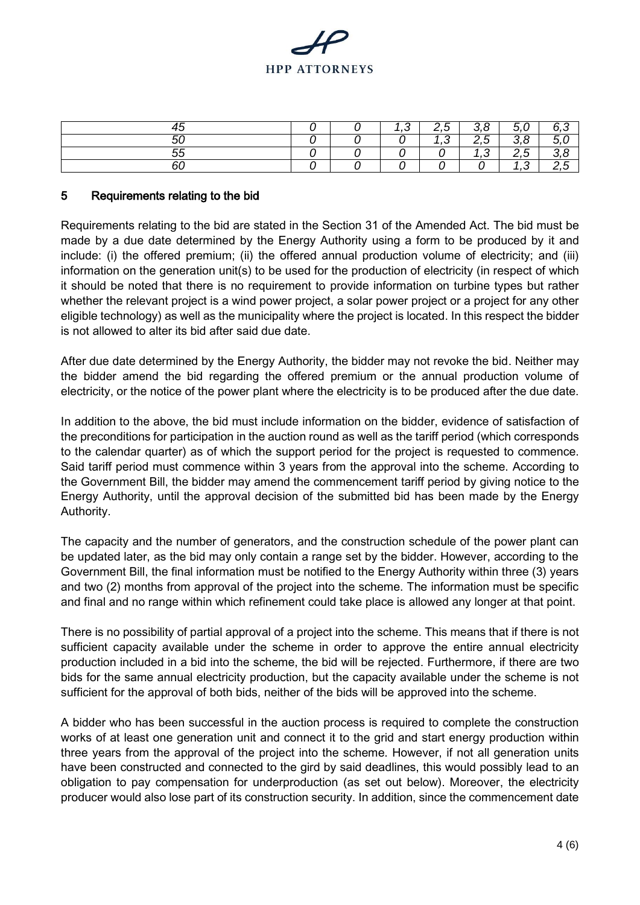

| -<br>ᅮᆫ              |  | ⌒<br>. ب | ∽<br>ے . | $\circ$          | ∽<br>ັ<br>ັ       |  |
|----------------------|--|----------|----------|------------------|-------------------|--|
| $\overline{r}$<br>יר |  |          | ⌒<br>. ب | Е<br>∽<br>$\sim$ | o<br>⌒<br>J.<br>ັ |  |
| $ -$                 |  |          |          | ⌒<br>ں.          | -<br>∽<br>ـ ـ     |  |
| οU                   |  |          |          |                  | ں ،               |  |

### 5 Requirements relating to the bid

Requirements relating to the bid are stated in the Section 31 of the Amended Act. The bid must be made by a due date determined by the Energy Authority using a form to be produced by it and include: (i) the offered premium; (ii) the offered annual production volume of electricity; and (iii) information on the generation unit(s) to be used for the production of electricity (in respect of which it should be noted that there is no requirement to provide information on turbine types but rather whether the relevant project is a wind power project, a solar power project or a project for any other eligible technology) as well as the municipality where the project is located. In this respect the bidder is not allowed to alter its bid after said due date.

After due date determined by the Energy Authority, the bidder may not revoke the bid. Neither may the bidder amend the bid regarding the offered premium or the annual production volume of electricity, or the notice of the power plant where the electricity is to be produced after the due date.

In addition to the above, the bid must include information on the bidder, evidence of satisfaction of the preconditions for participation in the auction round as well as the tariff period (which corresponds to the calendar quarter) as of which the support period for the project is requested to commence. Said tariff period must commence within 3 years from the approval into the scheme. According to the Government Bill, the bidder may amend the commencement tariff period by giving notice to the Energy Authority, until the approval decision of the submitted bid has been made by the Energy Authority.

The capacity and the number of generators, and the construction schedule of the power plant can be updated later, as the bid may only contain a range set by the bidder. However, according to the Government Bill, the final information must be notified to the Energy Authority within three (3) years and two (2) months from approval of the project into the scheme. The information must be specific and final and no range within which refinement could take place is allowed any longer at that point.

There is no possibility of partial approval of a project into the scheme. This means that if there is not sufficient capacity available under the scheme in order to approve the entire annual electricity production included in a bid into the scheme, the bid will be rejected. Furthermore, if there are two bids for the same annual electricity production, but the capacity available under the scheme is not sufficient for the approval of both bids, neither of the bids will be approved into the scheme.

A bidder who has been successful in the auction process is required to complete the construction works of at least one generation unit and connect it to the grid and start energy production within three years from the approval of the project into the scheme. However, if not all generation units have been constructed and connected to the gird by said deadlines, this would possibly lead to an obligation to pay compensation for underproduction (as set out below). Moreover, the electricity producer would also lose part of its construction security. In addition, since the commencement date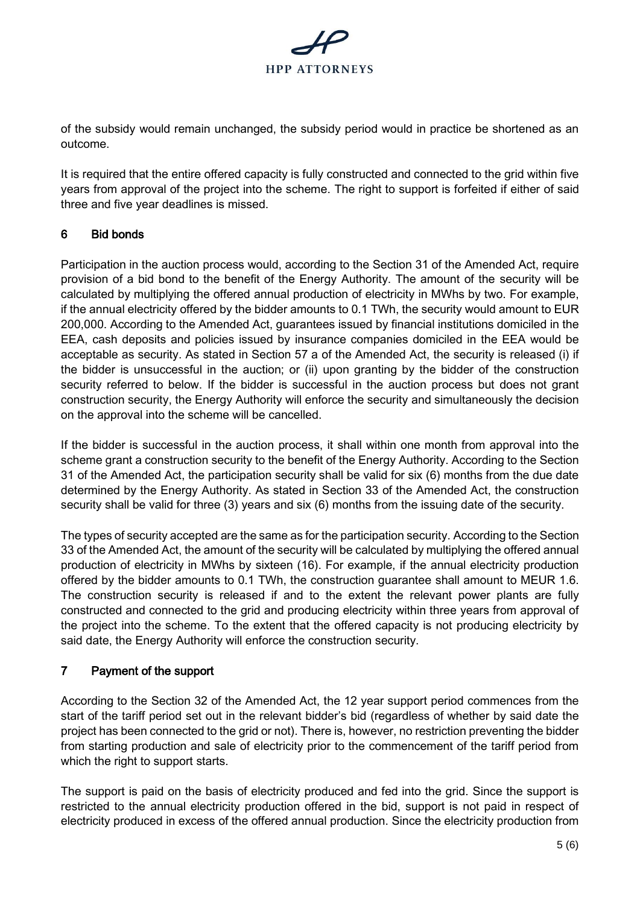

of the subsidy would remain unchanged, the subsidy period would in practice be shortened as an outcome.

It is required that the entire offered capacity is fully constructed and connected to the grid within five years from approval of the project into the scheme. The right to support is forfeited if either of said three and five year deadlines is missed.

# 6 Bid bonds

Participation in the auction process would, according to the Section 31 of the Amended Act, require provision of a bid bond to the benefit of the Energy Authority. The amount of the security will be calculated by multiplying the offered annual production of electricity in MWhs by two. For example, if the annual electricity offered by the bidder amounts to 0.1 TWh, the security would amount to EUR 200,000. According to the Amended Act, guarantees issued by financial institutions domiciled in the EEA, cash deposits and policies issued by insurance companies domiciled in the EEA would be acceptable as security. As stated in Section 57 a of the Amended Act, the security is released (i) if the bidder is unsuccessful in the auction; or (ii) upon granting by the bidder of the construction security referred to below. If the bidder is successful in the auction process but does not grant construction security, the Energy Authority will enforce the security and simultaneously the decision on the approval into the scheme will be cancelled.

If the bidder is successful in the auction process, it shall within one month from approval into the scheme grant a construction security to the benefit of the Energy Authority. According to the Section 31 of the Amended Act, the participation security shall be valid for six (6) months from the due date determined by the Energy Authority. As stated in Section 33 of the Amended Act, the construction security shall be valid for three (3) years and six (6) months from the issuing date of the security.

The types of security accepted are the same as for the participation security. According to the Section 33 of the Amended Act, the amount of the security will be calculated by multiplying the offered annual production of electricity in MWhs by sixteen (16). For example, if the annual electricity production offered by the bidder amounts to 0.1 TWh, the construction guarantee shall amount to MEUR 1.6. The construction security is released if and to the extent the relevant power plants are fully constructed and connected to the grid and producing electricity within three years from approval of the project into the scheme. To the extent that the offered capacity is not producing electricity by said date, the Energy Authority will enforce the construction security.

# 7 Payment of the support

According to the Section 32 of the Amended Act, the 12 year support period commences from the start of the tariff period set out in the relevant bidder's bid (regardless of whether by said date the project has been connected to the grid or not). There is, however, no restriction preventing the bidder from starting production and sale of electricity prior to the commencement of the tariff period from which the right to support starts.

The support is paid on the basis of electricity produced and fed into the grid. Since the support is restricted to the annual electricity production offered in the bid, support is not paid in respect of electricity produced in excess of the offered annual production. Since the electricity production from